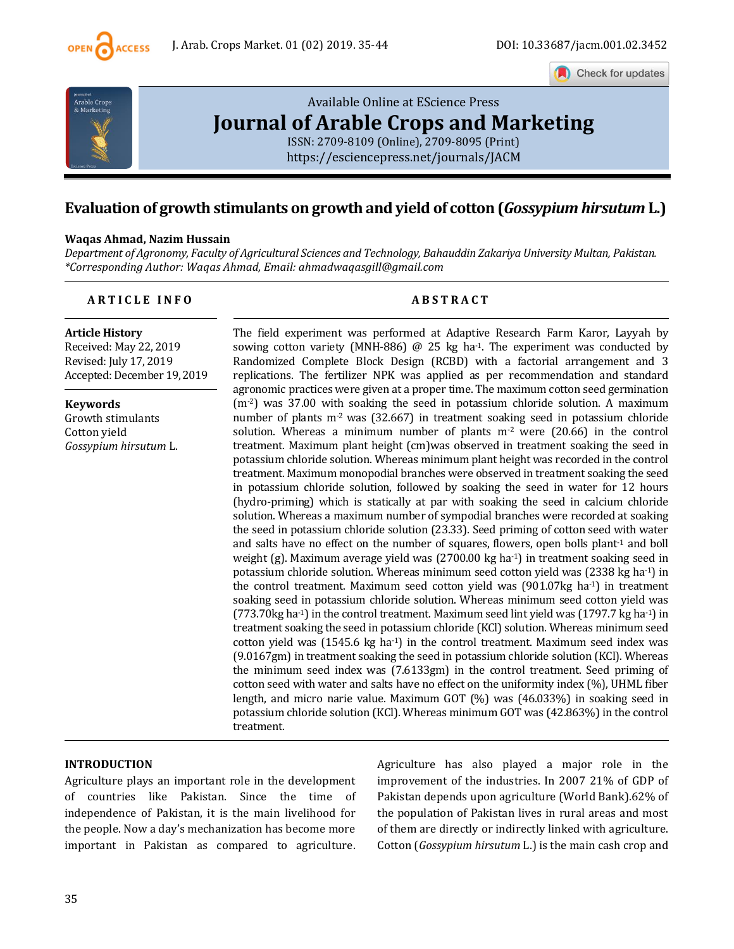

Check for updates



# [Available Online at EScience Press](https://esciencepress.net/journals/JACM) **[Journal of Arable Crops and Marketing](https://esciencepress.net/journals/JACM)**

[ISSN: 2709-8109 \(Online\), 2709-8095 \(Print\)](https://esciencepress.net/journals/JACM) <https://esciencepress.net/journals/JACM>

# **Evaluation of growth stimulants on growth and yield of cotton (***Gossypium hirsutum* **L.)**

#### **Waqas Ahmad, Nazim Hussain**

*Department of Agronomy, Faculty of Agricultural Sciences and Technology, Bahauddin Zakariya University Multan, Pakistan. \*Corresponding Author: Waqas Ahmad, Email: ahmadwaqasgill@gmail.com*

# **A R T I C L E I N F O A B S T R A C T**

# **Article History**

Received: May 22, 2019 Revised: July 17, 2019 Accepted: December 19, 2019

**Keywords** Growth stimulants Cotton yield *Gossypium hirsutum* L.

The field experiment was performed at Adaptive Research Farm Karor, Layyah by sowing cotton variety (MNH-886)  $\omega$  25 kg ha<sup>-1</sup>. The experiment was conducted by Randomized Complete Block Design (RCBD) with a factorial arrangement and 3 replications. The fertilizer NPK was applied as per recommendation and standard agronomic practices were given at a proper time. The maximum cotton seed germination  $(m<sup>2</sup>)$  was 37.00 with soaking the seed in potassium chloride solution. A maximum number of plants  $m<sup>2</sup>$  was (32.667) in treatment soaking seed in potassium chloride solution. Whereas a minimum number of plants  $m<sup>2</sup>$  were (20.66) in the control treatment. Maximum plant height (cm)was observed in treatment soaking the seed in potassium chloride solution. Whereas minimum plant height was recorded in the control treatment. Maximum monopodial branches were observed in treatment soaking the seed in potassium chloride solution, followed by soaking the seed in water for 12 hours (hydro-priming) which is statically at par with soaking the seed in calcium chloride solution. Whereas a maximum number of sympodial branches were recorded at soaking the seed in potassium chloride solution (23.33). Seed priming of cotton seed with water and salts have no effect on the number of squares, flowers, open bolls plant<sup>-1</sup> and boll weight (g). Maximum average yield was (2700.00 kg ha-1) in treatment soaking seed in potassium chloride solution. Whereas minimum seed cotton yield was (2338 kg ha-1) in the control treatment. Maximum seed cotton yield was (901.07kg ha<sup>-1</sup>) in treatment soaking seed in potassium chloride solution. Whereas minimum seed cotton yield was  $(773.70 \text{kg} \text{ ha}^{-1})$  in the control treatment. Maximum seed lint yield was  $(1797.7 \text{ kg} \text{ ha}^{-1})$  in treatment soaking the seed in potassium chloride (KCl) solution. Whereas minimum seed cotton yield was  $(1545.6 \text{ kg ha}^{-1})$  in the control treatment. Maximum seed index was (9.0167gm) in treatment soaking the seed in potassium chloride solution (KCl). Whereas the minimum seed index was (7.6133gm) in the control treatment. Seed priming of cotton seed with water and salts have no effect on the uniformity index (%), UHML fiber length, and micro narie value. Maximum GOT (%) was (46.033%) in soaking seed in potassium chloride solution (KCl). Whereas minimum GOT was (42.863%) in the control treatment.

#### **INTRODUCTION**

Agriculture plays an important role in the development of countries like Pakistan. Since the time of independence of Pakistan, it is the main livelihood for the people. Now a day's mechanization has become more important in Pakistan as compared to agriculture.

Agriculture has also played a major role in the improvement of the industries. In 2007 21% of GDP of Pakistan depends upon agriculture (World Bank).62% of the population of Pakistan lives in rural areas and most of them are directly or indirectly linked with agriculture. Cotton (*Gossypium hirsutum* L.) is the main cash crop and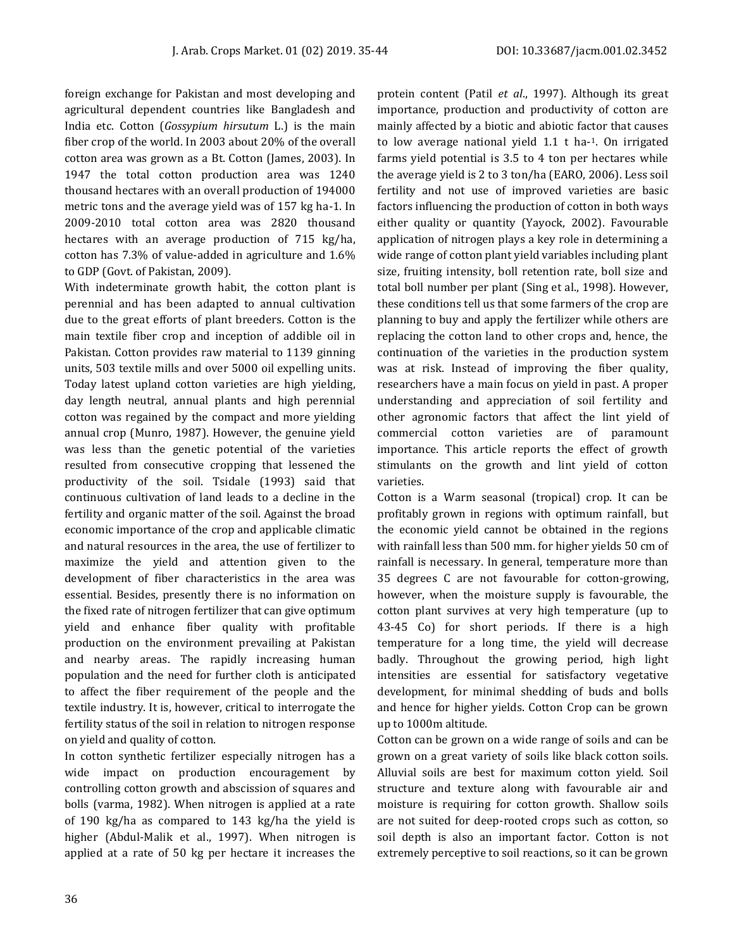foreign exchange for Pakistan and most developing and agricultural dependent countries like Bangladesh and India etc. Cotton (*Gossypium hirsutum* L.) is the main fiber crop of the world. In 2003 about 20% of the overall cotton area was grown as a Bt. Cotton (James, 2003). In 1947 the total cotton production area was 1240 thousand hectares with an overall production of 194000 metric tons and the average yield was of 157 kg ha-1. In 2009-2010 total cotton area was 2820 thousand hectares with an average production of 715 kg/ha, cotton has 7.3% of value-added in agriculture and 1.6% to GDP (Govt. of Pakistan, 2009).

With indeterminate growth habit, the cotton plant is perennial and has been adapted to annual cultivation due to the great efforts of plant breeders. Cotton is the main textile fiber crop and inception of addible oil in Pakistan. Cotton provides raw material to 1139 ginning units, 503 textile mills and over 5000 oil expelling units. Today latest upland cotton varieties are high yielding, day length neutral, annual plants and high perennial cotton was regained by the compact and more yielding annual crop (Munro, 1987). However, the genuine yield was less than the genetic potential of the varieties resulted from consecutive cropping that lessened the productivity of the soil. Tsidale (1993) said that continuous cultivation of land leads to a decline in the fertility and organic matter of the soil. Against the broad economic importance of the crop and applicable climatic and natural resources in the area, the use of fertilizer to maximize the yield and attention given to the development of fiber characteristics in the area was essential. Besides, presently there is no information on the fixed rate of nitrogen fertilizer that can give optimum yield and enhance fiber quality with profitable production on the environment prevailing at Pakistan and nearby areas. The rapidly increasing human population and the need for further cloth is anticipated to affect the fiber requirement of the people and the textile industry. It is, however, critical to interrogate the fertility status of the soil in relation to nitrogen response on yield and quality of cotton.

In cotton synthetic fertilizer especially nitrogen has a wide impact on production encouragement by controlling cotton growth and abscission of squares and bolls (varma, 1982). When nitrogen is applied at a rate of 190 kg/ha as compared to 143 kg/ha the yield is higher (Abdul-Malik et al., 1997). When nitrogen is applied at a rate of 50 kg per hectare it increases the protein content (Patil *et al*., 1997). Although its great importance, production and productivity of cotton are mainly affected by a biotic and abiotic factor that causes to low average national yield 1.1 t ha-<sup>1</sup>. On irrigated farms yield potential is 3.5 to 4 ton per hectares while the average yield is 2 to 3 ton/ha (EARO, 2006). Less soil fertility and not use of improved varieties are basic factors influencing the production of cotton in both ways either quality or quantity (Yayock, 2002). Favourable application of nitrogen plays a key role in determining a wide range of cotton plant yield variables including plant size, fruiting intensity, boll retention rate, boll size and total boll number per plant (Sing et al., 1998). However, these conditions tell us that some farmers of the crop are planning to buy and apply the fertilizer while others are replacing the cotton land to other crops and, hence, the continuation of the varieties in the production system was at risk. Instead of improving the fiber quality, researchers have a main focus on yield in past. A proper understanding and appreciation of soil fertility and other agronomic factors that affect the lint yield of commercial cotton varieties are of paramount importance. This article reports the effect of growth stimulants on the growth and lint yield of cotton varieties.

Cotton is a Warm seasonal (tropical) crop. It can be profitably grown in regions with optimum rainfall, but the economic yield cannot be obtained in the regions with rainfall less than 500 mm. for higher yields 50 cm of rainfall is necessary. In general, temperature more than 35 degrees C are not favourable for cotton-growing, however, when the moisture supply is favourable, the cotton plant survives at very high temperature (up to 43-45 Co) for short periods. If there is a high temperature for a long time, the yield will decrease badly. Throughout the growing period, high light intensities are essential for satisfactory vegetative development, for minimal shedding of buds and bolls and hence for higher yields. Cotton Crop can be grown up to 1000m altitude.

Cotton can be grown on a wide range of soils and can be grown on a great variety of soils like black cotton soils. Alluvial soils are best for maximum cotton yield. Soil structure and texture along with favourable air and moisture is requiring for cotton growth. Shallow soils are not suited for deep-rooted crops such as cotton, so soil depth is also an important factor. Cotton is not extremely perceptive to soil reactions, so it can be grown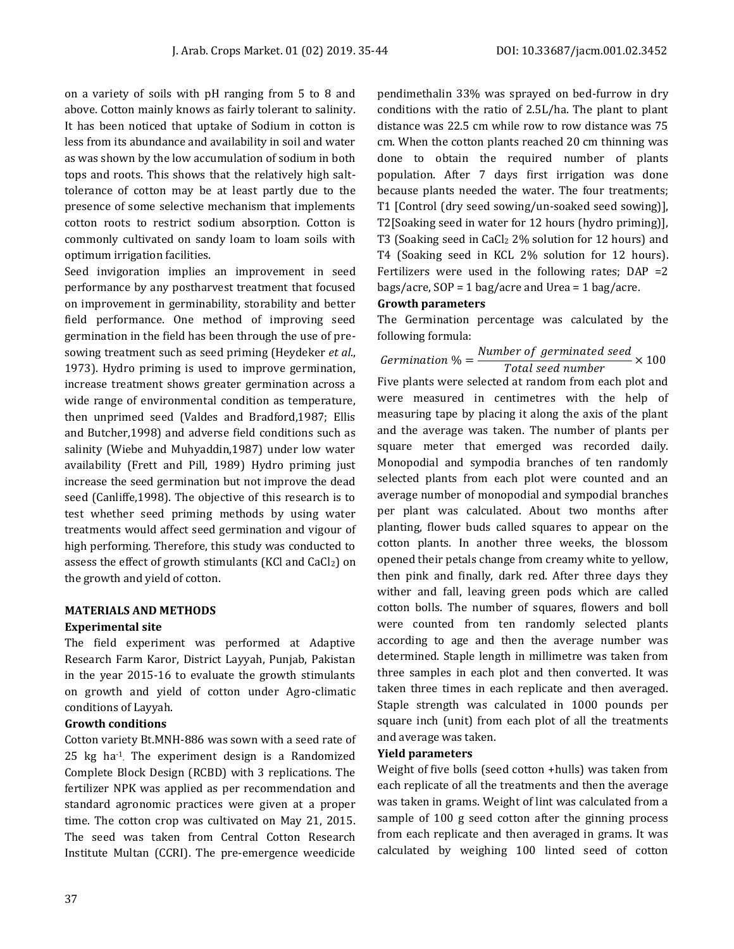on a variety of soils with pH ranging from 5 to 8 and above. Cotton mainly knows as fairly tolerant to salinity. It has been noticed that uptake of Sodium in cotton is less from its abundance and availability in soil and water as was shown by the low accumulation of sodium in both tops and roots. This shows that the relatively high salttolerance of cotton may be at least partly due to the presence of some selective mechanism that implements cotton roots to restrict sodium absorption. Cotton is commonly cultivated on sandy loam to loam soils with optimum irrigation facilities.

Seed invigoration implies an improvement in seed performance by any postharvest treatment that focused on improvement in germinability, storability and better field performance. One method of improving seed germination in the field has been through the use of presowing treatment such as seed priming (Heydeker *et al*., 1973). Hydro priming is used to improve germination, increase treatment shows greater germination across a wide range of environmental condition as temperature, then unprimed seed (Valdes and Bradford,1987; Ellis and Butcher,1998) and adverse field conditions such as salinity (Wiebe and Muhyaddin,1987) under low water availability (Frett and Pill, 1989) Hydro priming just increase the seed germination but not improve the dead seed (Canliffe,1998). The objective of this research is to test whether seed priming methods by using water treatments would affect seed germination and vigour of high performing. Therefore, this study was conducted to assess the effect of growth stimulants (KCl and CaCl2) on the growth and yield of cotton.

## **MATERIALS AND METHODS Experimental site**

The field experiment was performed at Adaptive Research Farm Karor, District Layyah, Punjab, Pakistan in the year 2015-16 to evaluate the growth stimulants on growth and yield of cotton under Agro-climatic conditions of Layyah.

# **Growth conditions**

Cotton variety Bt.MNH-886 was sown with a seed rate of 25 kg ha-1 . The experiment design is a Randomized Complete Block Design (RCBD) with 3 replications. The fertilizer NPK was applied as per recommendation and standard agronomic practices were given at a proper time. The cotton crop was cultivated on May 21, 2015. The seed was taken from Central Cotton Research Institute Multan (CCRI). The pre-emergence weedicide

pendimethalin 33% was sprayed on bed-furrow in dry conditions with the ratio of 2.5L/ha. The plant to plant distance was 22.5 cm while row to row distance was 75 cm. When the cotton plants reached 20 cm thinning was done to obtain the required number of plants population. After 7 days first irrigation was done because plants needed the water. The four treatments; T1 [Control (dry seed sowing/un-soaked seed sowing)], T2[Soaking seed in water for 12 hours (hydro priming)], T3 (Soaking seed in CaCl<sub>2</sub> 2% solution for 12 hours) and T4 (Soaking seed in KCL 2% solution for 12 hours). Fertilizers were used in the following rates;  $DAP = 2$ bags/acre,  $SOP = 1$  bag/acre and Urea = 1 bag/acre.

# **Growth parameters**

The Germination percentage was calculated by the following formula:

 $\emph{Germanation }\% = \frac{Number\;of\;germinated\;seed}{Total\;seed\;number} \times 100$ Five plants were selected at random from each plot and were measured in centimetres with the help of measuring tape by placing it along the axis of the plant and the average was taken. The number of plants per square meter that emerged was recorded daily. Monopodial and sympodia branches of ten randomly selected plants from each plot were counted and an average number of monopodial and sympodial branches per plant was calculated. About two months after planting, flower buds called squares to appear on the cotton plants. In another three weeks, the blossom opened their petals change from creamy white to yellow, then pink and finally, dark red. After three days they wither and fall, leaving green pods which are called cotton bolls. The number of squares, flowers and boll were counted from ten randomly selected plants according to age and then the average number was determined. Staple length in millimetre was taken from three samples in each plot and then converted. It was taken three times in each replicate and then averaged. Staple strength was calculated in 1000 pounds per square inch (unit) from each plot of all the treatments and average was taken.

# **Yield parameters**

Weight of five bolls (seed cotton +hulls) was taken from each replicate of all the treatments and then the average was taken in grams. Weight of lint was calculated from a sample of 100 g seed cotton after the ginning process from each replicate and then averaged in grams. It was calculated by weighing 100 linted seed of cotton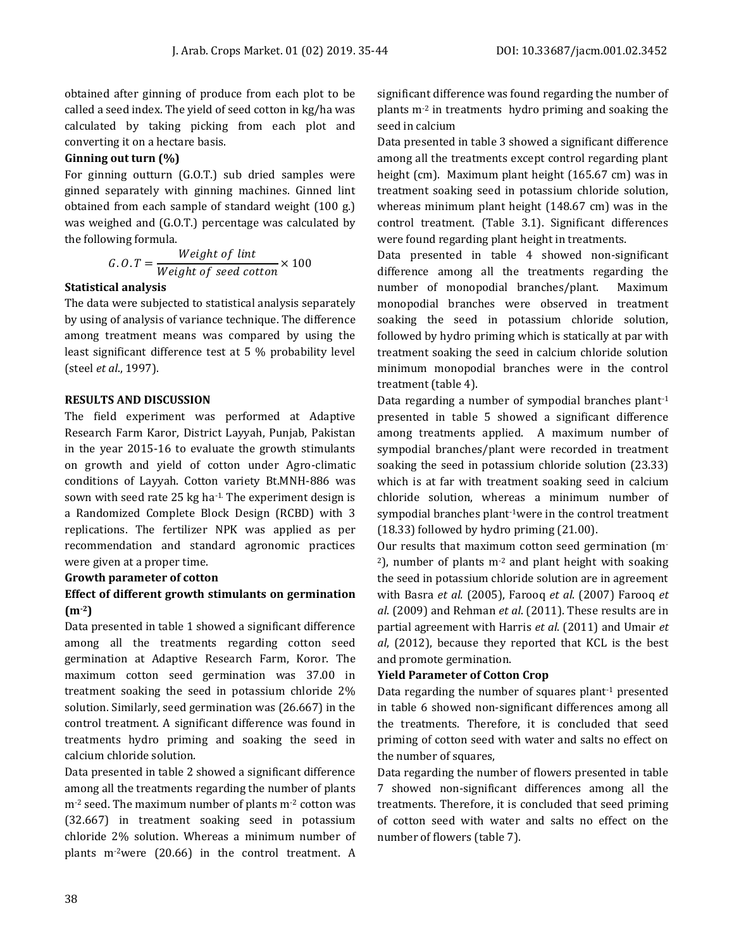obtained after ginning of produce from each plot to be called a seed index. The yield of seed cotton in kg/ha was calculated by taking picking from each plot and converting it on a hectare basis.

## **Ginning out turn (%)**

For ginning outturn (G.O.T.) sub dried samples were ginned separately with ginning machines. Ginned lint obtained from each sample of standard weight (100 g.) was weighed and (G.O.T.) percentage was calculated by the following formula.

$$
G.O.T = \frac{Weight\ of\ limit}{Weight\ of\ seed\ cotton} \times 100
$$

#### **Statistical analysis**

The data were subjected to statistical analysis separately by using of analysis of variance technique. The difference among treatment means was compared by using the least significant difference test at 5 % probability level (steel *et al*., 1997).

#### **RESULTS AND DISCUSSION**

The field experiment was performed at Adaptive Research Farm Karor, District Layyah, Punjab, Pakistan in the year 2015-16 to evaluate the growth stimulants on growth and yield of cotton under Agro-climatic conditions of Layyah. Cotton variety Bt.MNH-886 was sown with seed rate 25 kg ha-1. The experiment design is a Randomized Complete Block Design (RCBD) with 3 replications. The fertilizer NPK was applied as per recommendation and standard agronomic practices were given at a proper time.

#### **Growth parameter of cotton**

# **Effect of different growth stimulants on germination (m-2)**

Data presented in table 1 showed a significant difference among all the treatments regarding cotton seed germination at Adaptive Research Farm, Koror. The maximum cotton seed germination was 37.00 in treatment soaking the seed in potassium chloride 2% solution. Similarly, seed germination was (26.667) in the control treatment. A significant difference was found in treatments hydro priming and soaking the seed in calcium chloride solution.

Data presented in table 2 showed a significant difference among all the treatments regarding the number of plants m-2 seed. The maximum number of plants m-2 cotton was (32.667) in treatment soaking seed in potassium chloride 2% solution. Whereas a minimum number of plants m-2were (20.66) in the control treatment. A

significant difference was found regarding the number of plants m-2 in treatments hydro priming and soaking the seed in calcium

Data presented in table 3 showed a significant difference among all the treatments except control regarding plant height (cm). Maximum plant height (165.67 cm) was in treatment soaking seed in potassium chloride solution, whereas minimum plant height (148.67 cm) was in the control treatment. (Table 3.1). Significant differences were found regarding plant height in treatments.

Data presented in table 4 showed non-significant difference among all the treatments regarding the number of monopodial branches/plant. Maximum monopodial branches were observed in treatment soaking the seed in potassium chloride solution, followed by hydro priming which is statically at par with treatment soaking the seed in calcium chloride solution minimum monopodial branches were in the control treatment (table 4).

Data regarding a number of sympodial branches plant-1 presented in table 5 showed a significant difference among treatments applied. A maximum number of sympodial branches/plant were recorded in treatment soaking the seed in potassium chloride solution (23.33) which is at far with treatment soaking seed in calcium chloride solution, whereas a minimum number of sympodial branches plant<sup>-1</sup>were in the control treatment (18.33) followed by hydro priming (21.00).

Our results that maximum cotton seed germination (m- $^{2}$ ), number of plants m<sup>-2</sup> and plant height with soaking the seed in potassium chloride solution are in agreement with Basra *et al.* (2005), Farooq *et al*. (2007) Farooq *et al*. (2009) and Rehman *et al*. (2011). These results are in partial agreement with Harris *et al*. (2011) and Umair *et al*, (2012), because they reported that KCL is the best and promote germination.

# **Yield Parameter of Cotton Crop**

Data regarding the number of squares plant-1 presented in table 6 showed non-significant differences among all the treatments. Therefore, it is concluded that seed priming of cotton seed with water and salts no effect on the number of squares,

Data regarding the number of flowers presented in table 7 showed non-significant differences among all the treatments. Therefore, it is concluded that seed priming of cotton seed with water and salts no effect on the number of flowers (table 7).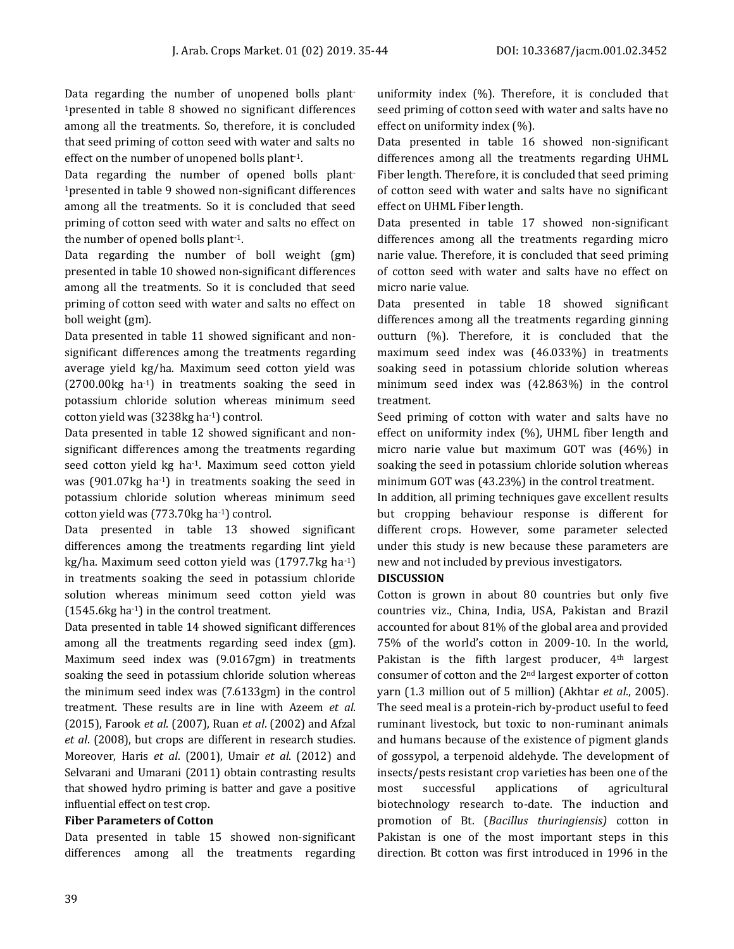Data regarding the number of unopened bolls plant-<sup>1</sup>presented in table 8 showed no significant differences among all the treatments. So, therefore, it is concluded that seed priming of cotton seed with water and salts no effect on the number of unopened bolls plant-1.

Data regarding the number of opened bolls plant-<sup>1</sup>presented in table 9 showed non-significant differences among all the treatments. So it is concluded that seed priming of cotton seed with water and salts no effect on the number of opened bolls plant-1.

Data regarding the number of boll weight (gm) presented in table 10 showed non-significant differences among all the treatments. So it is concluded that seed priming of cotton seed with water and salts no effect on boll weight (gm).

Data presented in table 11 showed significant and nonsignificant differences among the treatments regarding average yield kg/ha. Maximum seed cotton yield was (2700.00kg ha-1) in treatments soaking the seed in potassium chloride solution whereas minimum seed cotton yield was (3238kg ha-1) control.

Data presented in table 12 showed significant and nonsignificant differences among the treatments regarding seed cotton yield kg ha-1. Maximum seed cotton yield was (901.07kg ha-1) in treatments soaking the seed in potassium chloride solution whereas minimum seed cotton yield was (773.70kg ha-1) control.

Data presented in table 13 showed significant differences among the treatments regarding lint yield kg/ha. Maximum seed cotton yield was (1797.7kg ha-1) in treatments soaking the seed in potassium chloride solution whereas minimum seed cotton yield was (1545.6kg ha-1) in the control treatment.

Data presented in table 14 showed significant differences among all the treatments regarding seed index (gm). Maximum seed index was (9.0167gm) in treatments soaking the seed in potassium chloride solution whereas the minimum seed index was (7.6133gm) in the control treatment. These results are in line with Azeem *et al*. (2015), Farook *et al*. (2007), Ruan *et al*. (2002) and Afzal *et al*. (2008), but crops are different in research studies. Moreover, Haris *et al*. (2001), Umair *et al*. (2012) and Selvarani and Umarani (2011) obtain contrasting results that showed hydro priming is batter and gave a positive influential effect on test crop.

#### **Fiber Parameters of Cotton**

Data presented in table 15 showed non-significant differences among all the treatments regarding

uniformity index (%). Therefore, it is concluded that seed priming of cotton seed with water and salts have no effect on uniformity index (%).

Data presented in table 16 showed non-significant differences among all the treatments regarding UHML Fiber length. Therefore, it is concluded that seed priming of cotton seed with water and salts have no significant effect on UHML Fiber length.

Data presented in table 17 showed non-significant differences among all the treatments regarding micro narie value. Therefore, it is concluded that seed priming of cotton seed with water and salts have no effect on micro narie value.

Data presented in table 18 showed significant differences among all the treatments regarding ginning outturn (%). Therefore, it is concluded that the maximum seed index was (46.033%) in treatments soaking seed in potassium chloride solution whereas minimum seed index was (42.863%) in the control treatment.

Seed priming of cotton with water and salts have no effect on uniformity index (%), UHML fiber length and micro narie value but maximum GOT was (46%) in soaking the seed in potassium chloride solution whereas minimum GOT was (43.23%) in the control treatment.

In addition, all priming techniques gave excellent results but cropping behaviour response is different for different crops. However, some parameter selected under this study is new because these parameters are new and not included by previous investigators.

#### **DISCUSSION**

Cotton is grown in about 80 countries but only five countries viz., China, India, USA, Pakistan and Brazil accounted for about 81% of the global area and provided 75% of the world's cotton in 2009-10. In the world, Pakistan is the fifth largest producer, 4<sup>th</sup> largest consumer of cotton and the 2nd largest exporter of cotton yarn (1.3 million out of 5 million) (Akhtar *et al*., 2005). The seed meal is a protein-rich by-product useful to feed ruminant livestock, but toxic to non-ruminant animals and humans because of the existence of pigment glands of gossypol, a terpenoid aldehyde. The development of insects/pests resistant crop varieties has been one of the most successful applications of agricultural biotechnology research to-date. The induction and promotion of Bt. (*Bacillus thuringiensis)* cotton in Pakistan is one of the most important steps in this direction. Bt cotton was first introduced in 1996 in the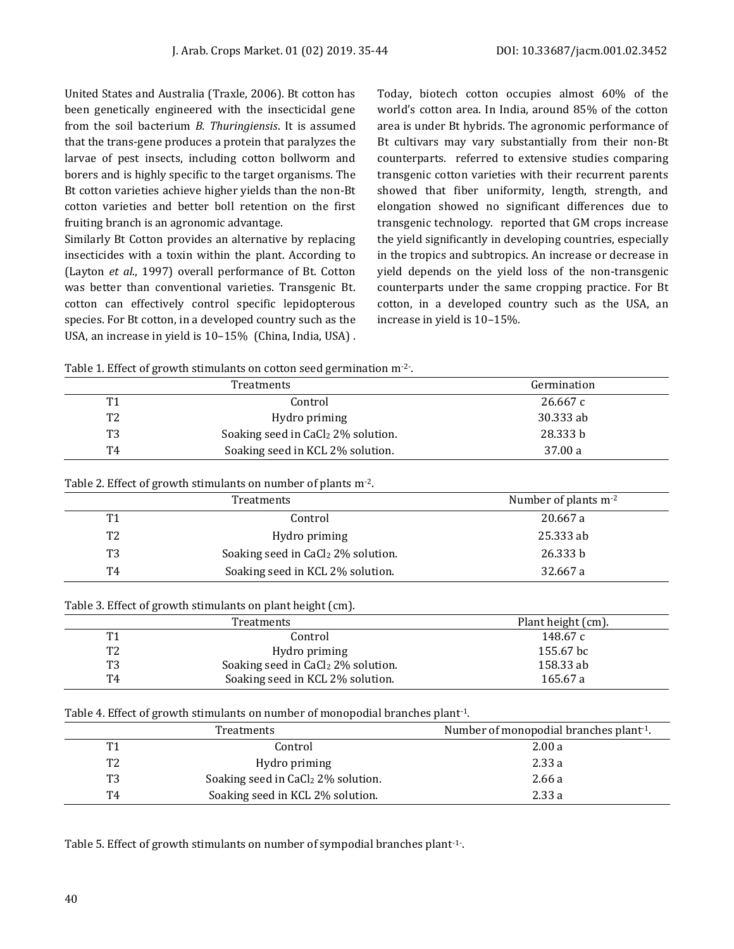United States and Australia (Traxle, 2006). Bt cotton has been genetically engineered with the insecticidal gene from the soil bacterium *B. Thuringiensis*. It is assumed that the trans-gene produces a protein that paralyzes the larvae of pest insects, including cotton bollworm and borers and is highly specific to the target organisms. The Bt cotton varieties achieve higher yields than the non-Bt cotton varieties and better boll retention on the first fruiting branch is an agronomic advantage.

Similarly Bt Cotton provides an alternative by replacing insecticides with a toxin within the plant. According to (Layton *et al*., 1997) overall performance of Bt. Cotton was better than conventional varieties. Transgenic Bt. cotton can effectively control specific lepidopterous species. For Bt cotton, in a developed country such as the USA, an increase in yield is 10–15% (China, India, USA) . Today, biotech cotton occupies almost 60% of the world's cotton area. In India, around 85% of the cotton area is under Bt hybrids. The agronomic performance of Bt cultivars may vary substantially from their non-Bt counterparts. referred to extensive studies comparing transgenic cotton varieties with their recurrent parents showed that fiber uniformity, length, strength, and elongation showed no significant differences due to transgenic technology. reported that GM crops increase the yield significantly in developing countries, especially in the tropics and subtropics. An increase or decrease in yield depends on the yield loss of the non-transgenic counterparts under the same cropping practice. For Bt cotton, in a developed country such as the USA, an increase in yield is 10–15%.

Table 1. Effect of growth stimulants on cotton seed germination m<sup>-2-</sup>.

|                | <b>Treatments</b>                              | Germination |
|----------------|------------------------------------------------|-------------|
| T <sub>1</sub> | Control                                        | 26.667c     |
| T <sub>2</sub> | Hydro priming                                  | 30.333 ab   |
| T3             | Soaking seed in CaCl <sub>2</sub> 2% solution. | 28.333 b    |
| T4             | Soaking seed in KCL 2% solution.               | 37.00 a     |

#### Table 2. Effect of growth stimulants on number of plants m-2.

|    | Treatments                                     | Number of plants m <sup>-2</sup> |
|----|------------------------------------------------|----------------------------------|
| T1 | Control                                        | 20.667 a                         |
| T2 | Hydro priming                                  | 25.333 ab                        |
| T3 | Soaking seed in CaCl <sub>2</sub> 2% solution. | 26.333 b                         |
| T4 | Soaking seed in KCL 2% solution.               | 32.667 a                         |

Table 3. Effect of growth stimulants on plant height (cm).

|                | Treatments                                     | Plant height (cm). |
|----------------|------------------------------------------------|--------------------|
| T <sub>1</sub> | Control                                        | 148.67 c           |
| T2             | Hydro priming                                  | 155.67 bc          |
| T3             | Soaking seed in CaCl <sub>2</sub> 2% solution. | 158.33 ab          |
| T4             | Soaking seed in KCL 2% solution.               | 165.67 a           |

#### Table 4. Effect of growth stimulants on number of monopodial branches plant-1.

|                | Treatments                                     | Number of monopodial branches plant <sup>-1</sup> . |
|----------------|------------------------------------------------|-----------------------------------------------------|
| T1             | Control                                        | 2.00a                                               |
| T <sub>2</sub> | Hydro priming                                  | 2.33a                                               |
| T <sub>3</sub> | Soaking seed in CaCl <sub>2</sub> 2% solution. | 2.66 a                                              |
| T4             | Soaking seed in KCL 2% solution.               | 2.33a                                               |

Table 5. Effect of growth stimulants on number of sympodial branches plant<sup>-1-</sup>.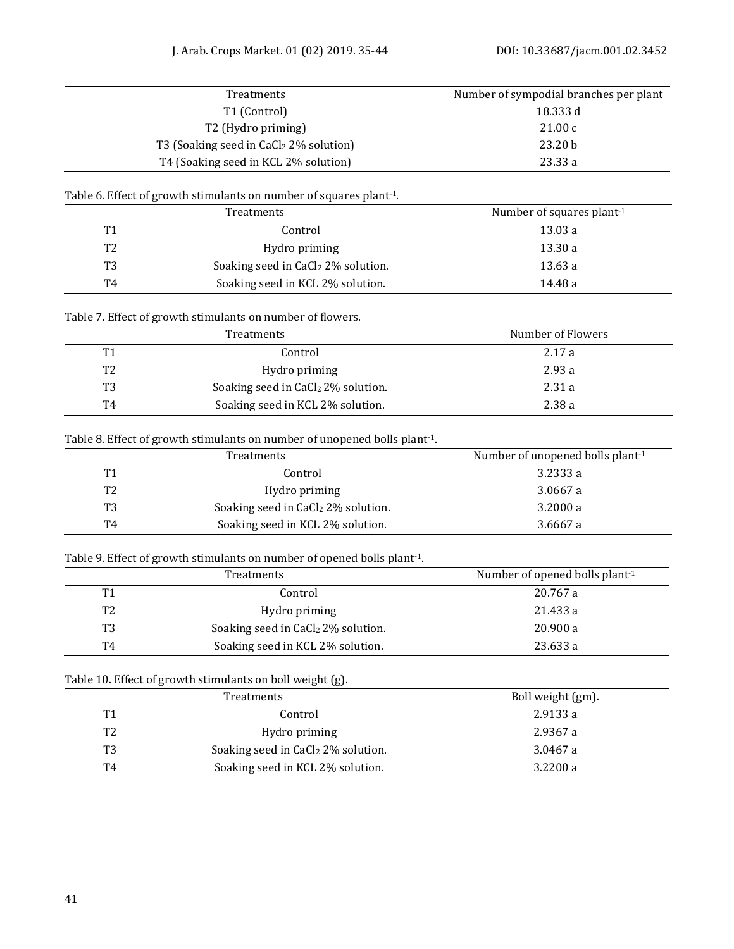|                | Treatments                                                                             | Number of sympodial branches per plant |
|----------------|----------------------------------------------------------------------------------------|----------------------------------------|
|                | T1 (Control)                                                                           | 18.333 d                               |
|                | T2 (Hydro priming)                                                                     | 21.00c                                 |
|                | T3 (Soaking seed in CaCl2 2% solution)                                                 | 23.20 b                                |
|                | T4 (Soaking seed in KCL 2% solution)                                                   | 23.33 a                                |
|                | Table 6. Effect of growth stimulants on number of squares plant-1.                     |                                        |
|                | Treatments                                                                             | Number of squares plant-1              |
| T <sub>1</sub> | Control                                                                                | 13.03 a                                |
| T <sub>2</sub> | Hydro priming                                                                          | 13.30 a                                |
| T <sub>3</sub> | Soaking seed in CaCl <sub>2</sub> 2% solution.                                         | 13.63 a                                |
| T <sub>4</sub> | Soaking seed in KCL 2% solution.                                                       | 14.48 a                                |
|                | Table 7. Effect of growth stimulants on number of flowers.                             |                                        |
|                | Treatments                                                                             | Number of Flowers                      |
| T <sub>1</sub> | Control                                                                                | 2.17a                                  |
| T <sub>2</sub> | Hydro priming                                                                          | 2.93 a                                 |
| T <sub>3</sub> | Soaking seed in CaCl <sub>2</sub> 2% solution.                                         | 2.31a                                  |
| T4             | Soaking seed in KCL 2% solution.                                                       | 2.38a                                  |
|                | Table 8. Effect of growth stimulants on number of unopened bolls plant <sup>-1</sup> . |                                        |
|                | Treatments                                                                             | Number of unopened bolls plant-1       |
| T1             | Control                                                                                | 3.2333 a                               |
| T <sub>2</sub> | Hydro priming                                                                          | 3.0667 a                               |
| T <sub>3</sub> | Soaking seed in CaCl2 2% solution.                                                     | 3.2000 a                               |
| T <sub>4</sub> | Soaking seed in KCL 2% solution.                                                       | 3.6667 a                               |
|                |                                                                                        |                                        |
|                | Table 9. Effect of growth stimulants on number of opened bolls plant-1.                |                                        |
|                | Treatments                                                                             | Number of opened bolls plant-1         |
| T1             | Control                                                                                | 20.767 a                               |
| T <sub>2</sub> | Hydro priming                                                                          | 21.433 a                               |
| T <sub>3</sub> | Soaking seed in CaCl <sub>2</sub> 2% solution.                                         | 20.900 a                               |
| T <sub>4</sub> | Soaking seed in KCL 2% solution.                                                       | 23.633 a                               |
|                | Table 10. Effect of growth stimulants on boll weight (g).                              |                                        |
|                | Treatments                                                                             | Boll weight (gm).                      |
| T1             | Control                                                                                | 2.9133 a                               |
| T <sub>2</sub> | Hydro priming                                                                          | 2.9367 a                               |
| T <sub>3</sub> | Soaking seed in CaCl2 2% solution.                                                     | 3.0467 a                               |
| T <sub>4</sub> | Soaking seed in KCL 2% solution.                                                       | 3.2200 a                               |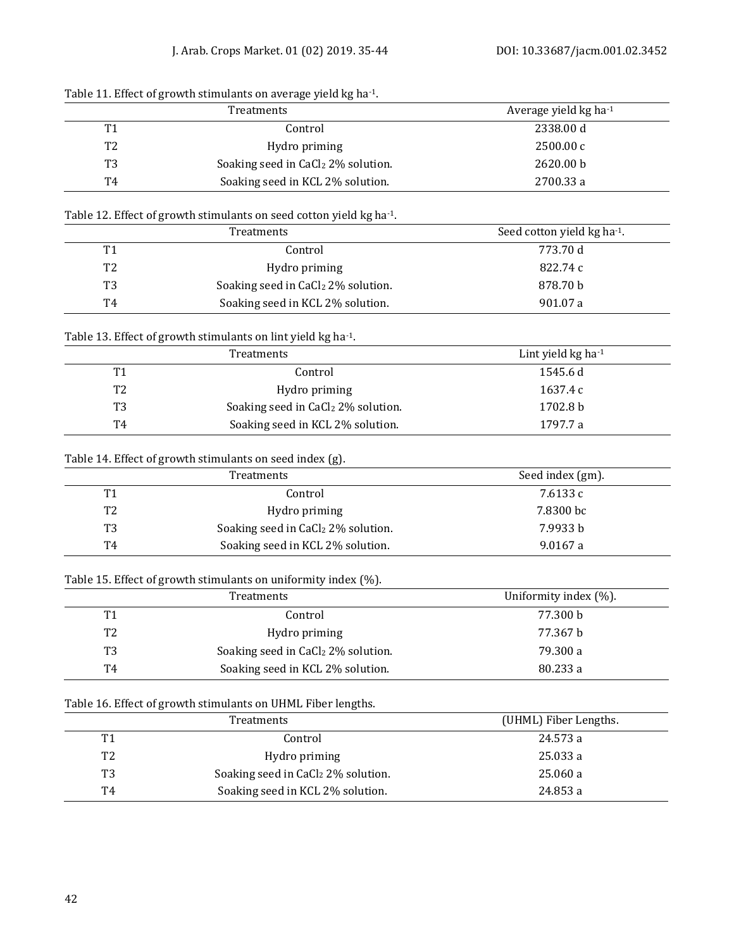| Table 11. Bliect of growth stiffuants on average yield is no |                                                |                                     |
|--------------------------------------------------------------|------------------------------------------------|-------------------------------------|
|                                                              | <b>Treatments</b>                              | Average yield $kg$ ha <sup>-1</sup> |
| T1                                                           | Control                                        | 2338.00 d                           |
| T2                                                           | Hydro priming                                  | 2500.00c                            |
| T3                                                           | Soaking seed in CaCl <sub>2</sub> 2% solution. | 2620.00 b                           |
| Τ4                                                           | Soaking seed in KCL 2% solution.               | 2700.33 a                           |
|                                                              |                                                |                                     |

# Table 11. Effect of growth stimulants on average yield kg ha-1.

## Table 12. Effect of growth stimulants on seed cotton yield kg ha-1.

|           | Treatments                                     | Seed cotton yield kg ha-1. |
|-----------|------------------------------------------------|----------------------------|
| <b>T1</b> | Control                                        | 773.70 d                   |
| T2        | Hydro priming                                  | 822.74 c                   |
| T3        | Soaking seed in CaCl <sub>2</sub> 2% solution. | 878.70 b                   |
| T4        | Soaking seed in KCL 2% solution.               | 901.07 a                   |

# Table 13. Effect of growth stimulants on lint yield kg ha-1.

|                | Treatments                                     | Lint yield $kg$ ha <sup>-1</sup> |
|----------------|------------------------------------------------|----------------------------------|
| T <sub>1</sub> | Control                                        | 1545.6 d                         |
| T <sub>2</sub> | Hydro priming                                  | 1637.4 c                         |
| T <sub>3</sub> | Soaking seed in CaCl <sub>2</sub> 2% solution. | 1702.8 b                         |
| T4             | Soaking seed in KCL 2% solution.               | 1797.7 a                         |

# Table 14. Effect of growth stimulants on seed index (g).

|                | Treatments                                     | Seed index (gm). |
|----------------|------------------------------------------------|------------------|
| T <sub>1</sub> | Control                                        | 7.6133 c         |
| T <sub>2</sub> | Hydro priming                                  | 7.8300 bc        |
| T <sub>3</sub> | Soaking seed in CaCl <sub>2</sub> 2% solution. | 7.9933 b         |
| T4             | Soaking seed in KCL 2% solution.               | 9.0167a          |

#### Table 15. Effect of growth stimulants on uniformity index (%).

|                | Treatments                                     | Uniformity index (%). |
|----------------|------------------------------------------------|-----------------------|
| T1             | Control                                        | 77.300 b              |
| T <sub>2</sub> | Hydro priming                                  | 77.367 b              |
| T3             | Soaking seed in CaCl <sub>2</sub> 2% solution. | 79.300 a              |
| T4             | Soaking seed in KCL 2% solution.               | 80.233 a              |

# Table 16. Effect of growth stimulants on UHML Fiber lengths.

|                | Treatments                                     | (UHML) Fiber Lengths. |
|----------------|------------------------------------------------|-----------------------|
| T1             | Control                                        | 24.573 a              |
| T <sub>2</sub> | Hydro priming                                  | 25.033 a              |
| T <sub>3</sub> | Soaking seed in CaCl <sub>2</sub> 2% solution. | 25.060 a              |
| T4             | Soaking seed in KCL 2% solution.               | 24.853 a              |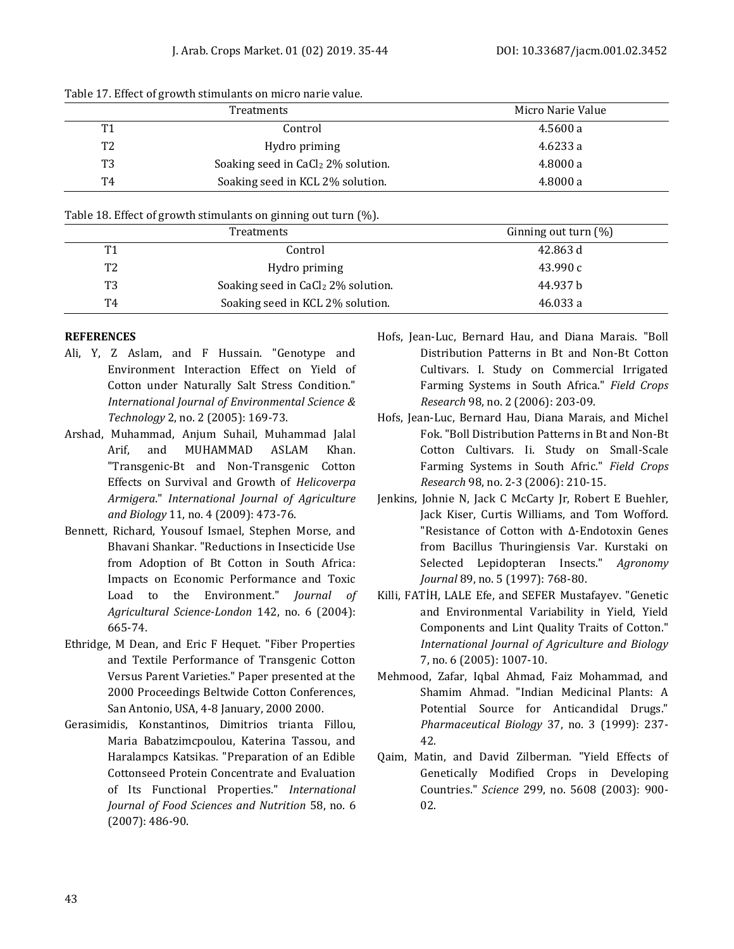|                | Treatments                                     | Micro Narie Value |
|----------------|------------------------------------------------|-------------------|
| T <sub>1</sub> | Control                                        | 4.5600 a          |
| T <sub>2</sub> | Hydro priming                                  | 4.6233 a          |
| T <sub>3</sub> | Soaking seed in CaCl <sub>2</sub> 2% solution. | 4.8000 a          |
| T4             | Soaking seed in KCL 2% solution.               | 4.8000 a          |

#### Table 17. Effect of growth stimulants on micro narie value.

#### Table 18. Effect of growth stimulants on ginning out turn (%).

|                | Treatments                                     | Ginning out turn $(\%)$ |
|----------------|------------------------------------------------|-------------------------|
| T1             | Control                                        | 42.863 d                |
| T <sub>2</sub> | Hydro priming                                  | 43.990 c                |
| T3             | Soaking seed in CaCl <sub>2</sub> 2% solution. | 44.937 b                |
| T4             | Soaking seed in KCL 2% solution.               | 46.033 a                |

#### **REFERENCES**

- Ali, Y, Z Aslam, and F Hussain. "Genotype and Environment Interaction Effect on Yield of Cotton under Naturally Salt Stress Condition." *International Journal of Environmental Science & Technology* 2, no. 2 (2005): 169-73.
- Arshad, Muhammad, Anjum Suhail, Muhammad Jalal Arif, and MUHAMMAD ASLAM Khan. "Transgenic-Bt and Non-Transgenic Cotton Effects on Survival and Growth of *Helicoverpa Armigera*." *International Journal of Agriculture and Biology* 11, no. 4 (2009): 473-76.
- Bennett, Richard, Yousouf Ismael, Stephen Morse, and Bhavani Shankar. "Reductions in Insecticide Use from Adoption of Bt Cotton in South Africa: Impacts on Economic Performance and Toxic Load to the Environment." *Journal of Agricultural Science-London* 142, no. 6 (2004): 665-74.
- Ethridge, M Dean, and Eric F Hequet. "Fiber Properties and Textile Performance of Transgenic Cotton Versus Parent Varieties." Paper presented at the 2000 Proceedings Beltwide Cotton Conferences, San Antonio, USA, 4-8 January, 2000 2000.
- Gerasimidis, Konstantinos, Dimitrios trianta Fillou, Maria Babatzimcpoulou, Katerina Tassou, and Haralampcs Katsikas. "Preparation of an Edible Cottonseed Protein Concentrate and Evaluation of Its Functional Properties." *International Journal of Food Sciences and Nutrition* 58, no. 6 (2007): 486-90.
- Hofs, Jean-Luc, Bernard Hau, and Diana Marais. "Boll Distribution Patterns in Bt and Non-Bt Cotton Cultivars. I. Study on Commercial Irrigated Farming Systems in South Africa." *Field Crops Research* 98, no. 2 (2006): 203-09.
- Hofs, Jean-Luc, Bernard Hau, Diana Marais, and Michel Fok. "Boll Distribution Patterns in Bt and Non-Bt Cotton Cultivars. Ii. Study on Small-Scale Farming Systems in South Afric." *Field Crops Research* 98, no. 2-3 (2006): 210-15.
- Jenkins, Johnie N, Jack C McCarty Jr, Robert E Buehler, Jack Kiser, Curtis Williams, and Tom Wofford. "Resistance of Cotton with Δ‐Endotoxin Genes from Bacillus Thuringiensis Var. Kurstaki on Selected Lepidopteran Insects." *Agronomy Journal* 89, no. 5 (1997): 768-80.
- Killi, FATİH, LALE Efe, and SEFER Mustafayev. "Genetic and Environmental Variability in Yield, Yield Components and Lint Quality Traits of Cotton." *International Journal of Agriculture and Biology*  7, no. 6 (2005): 1007-10.
- Mehmood, Zafar, Iqbal Ahmad, Faiz Mohammad, and Shamim Ahmad. "Indian Medicinal Plants: A Potential Source for Anticandidal Drugs." *Pharmaceutical Biology* 37, no. 3 (1999): 237- 42.
- Qaim, Matin, and David Zilberman. "Yield Effects of Genetically Modified Crops in Developing Countries." *Science* 299, no. 5608 (2003): 900- 02.